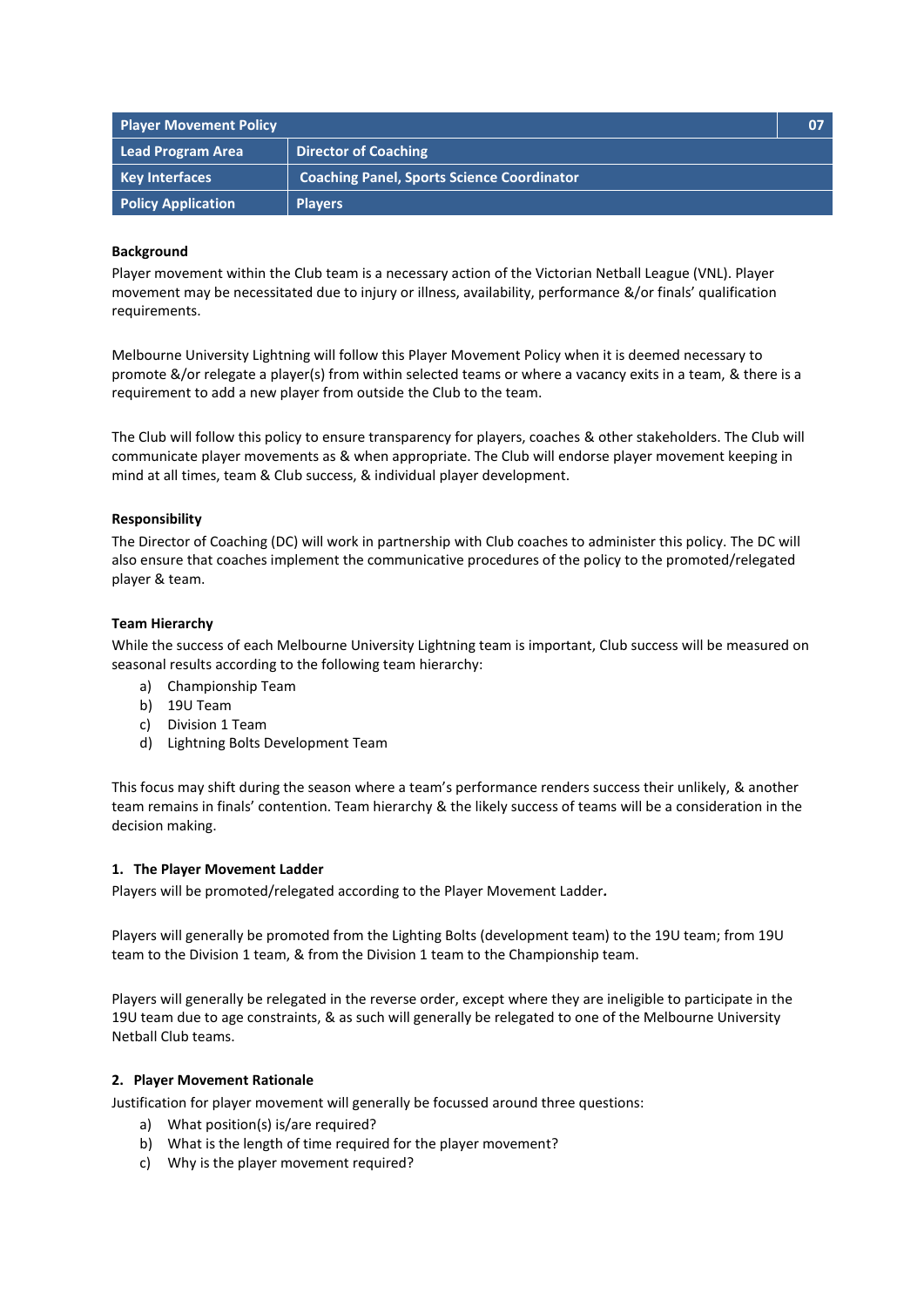| <b>Player Movement Policy</b> |                                                   | 07 |
|-------------------------------|---------------------------------------------------|----|
| Lead Program Area             | <b>Director of Coaching</b>                       |    |
| <b>Key Interfaces</b>         | <b>Coaching Panel, Sports Science Coordinator</b> |    |
| <b>Policy Application</b>     | <b>Players</b>                                    |    |

# **Background**

Player movement within the Club team is a necessary action of the Victorian Netball League (VNL). Player movement may be necessitated due to injury or illness, availability, performance &/or finals' qualification requirements.

Melbourne University Lightning will follow this Player Movement Policy when it is deemed necessary to promote &/or relegate a player(s) from within selected teams or where a vacancy exits in a team, & there is a requirement to add a new player from outside the Club to the team.

The Club will follow this policy to ensure transparency for players, coaches & other stakeholders. The Club will communicate player movements as & when appropriate. The Club will endorse player movement keeping in mind at all times, team & Club success, & individual player development.

# **Responsibility**

The Director of Coaching (DC) will work in partnership with Club coaches to administer this policy. The DC will also ensure that coaches implement the communicative procedures of the policy to the promoted/relegated player & team.

### **Team Hierarchy**

While the success of each Melbourne University Lightning team is important, Club success will be measured on seasonal results according to the following team hierarchy:

- a) Championship Team
- b) 19U Team
- c) Division 1 Team
- d) Lightning Bolts Development Team

This focus may shift during the season where a team's performance renders success their unlikely, & another team remains in finals' contention. Team hierarchy & the likely success of teams will be a consideration in the decision making.

### **1. The Player Movement Ladder**

Players will be promoted/relegated according to the Player Movement Ladder*.*

Players will generally be promoted from the Lighting Bolts (development team) to the 19U team; from 19U team to the Division 1 team, & from the Division 1 team to the Championship team.

Players will generally be relegated in the reverse order, except where they are ineligible to participate in the 19U team due to age constraints, & as such will generally be relegated to one of the Melbourne University Netball Club teams.

### **2. Player Movement Rationale**

Justification for player movement will generally be focussed around three questions:

- a) What position(s) is/are required?
- b) What is the length of time required for the player movement?
- c) Why is the player movement required?